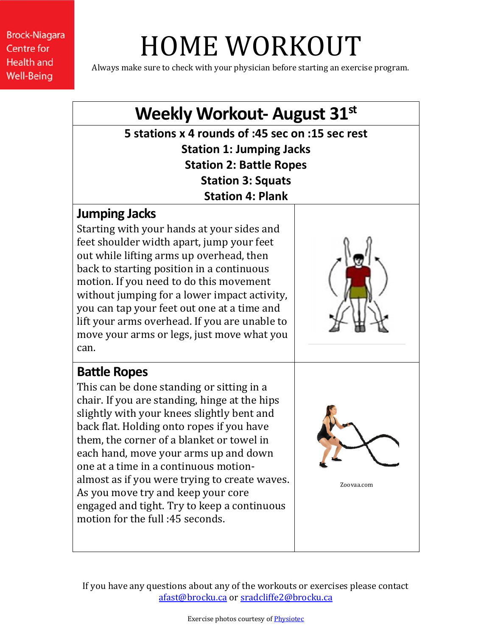# HOME WORKOUT

Always make sure to check with your physician before starting an exercise program.

### **Weekly Workout- August 31st 5 stations x 4 rounds of :45 sec on :15 sec rest Station 1: Jumping Jacks Station 2: Battle Ropes Station 3: Squats Station 4: Plank Jumping Jacks** Starting with your hands at your sides and feet shoulder width apart, jump your feet out while lifting arms up overhead, then back to starting position in a continuous motion. If you need to do this movement without jumping for a lower impact activity, you can tap your feet out one at a time and lift your arms overhead. If you are unable to move your arms or legs, just move what you can. **Battle Ropes** This can be done standing or sitting in a chair. If you are standing, hinge at the hips slightly with your knees slightly bent and back flat. Holding onto ropes if you have them, the corner of a blanket or towel in each hand, move your arms up and down one at a time in a continuous motionalmost as if you were trying to create waves. As you move try and keep your core engaged and tight. Try to keep a continuous motion for the full :45 seconds. Zoovaa.com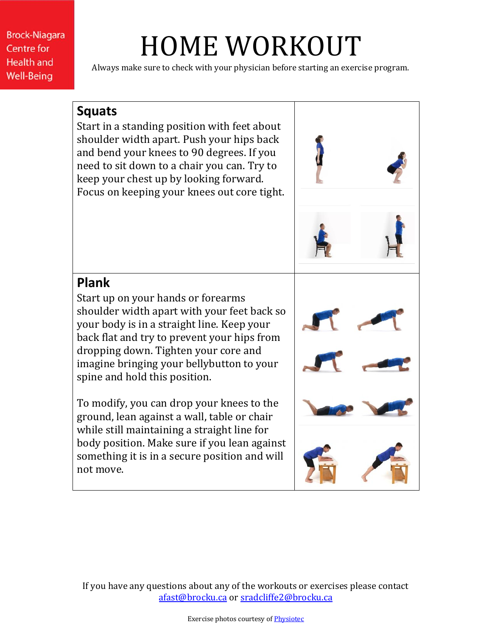# HOME WORKOUT

Always make sure to check with your physician before starting an exercise program.

#### **Squats**

Start in a standing position with feet about shoulder width apart. Push your hips back and bend your knees to 90 degrees. If you need to sit down to a chair you can. Try to keep your chest up by looking forward. Focus on keeping your knees out core tight.



### **Plank**

Start up on your hands or forearms shoulder width apart with your feet back so your body is in a straight line. Keep your back flat and try to prevent your hips from dropping down. Tighten your core and imagine bringing your bellybutton to your spine and hold this position.

To modify, you can drop your knees to the ground, lean against a wall, table or chair while still maintaining a straight line for body position. Make sure if you lean against something it is in a secure position and will not move.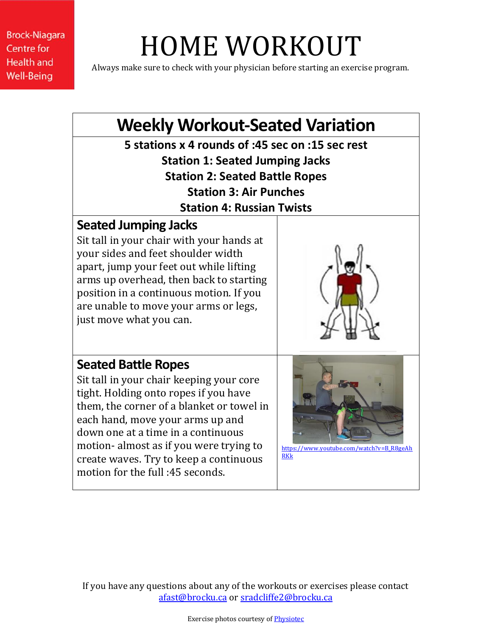# HOME WORKOUT

Always make sure to check with your physician before starting an exercise program.